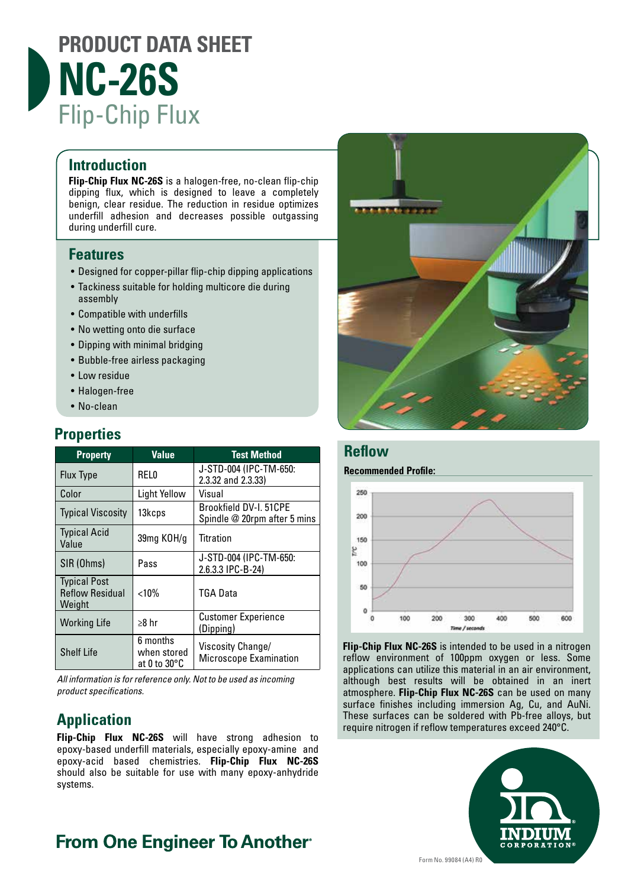

#### **Introduction**

**Flip-Chip Flux NC-26S** is a halogen-free, no-clean flip-chip dipping flux, which is designed to leave a completely benign, clear residue. The reduction in residue optimizes underfill adhesion and decreases possible outgassing during underfill cure.

## **Features**

- Designed for copper-pillar flip-chip dipping applications
- Tackiness suitable for holding multicore die during assembly
- Compatible with underfills
- No wetting onto die surface
- Dipping with minimal bridging
- Bubble-free airless packaging
- Low residue
- Halogen-free
- No-clean

# **Properties**

| <b>Property</b>                                         | <b>Value</b>                            | <b>Test Method</b>                                     |
|---------------------------------------------------------|-----------------------------------------|--------------------------------------------------------|
| <b>Flux Type</b>                                        | <b>RELO</b>                             | J-STD-004 (IPC-TM-650:<br>2.3.32 and 2.3.33)           |
| Color                                                   | <b>Light Yellow</b>                     | Visual                                                 |
| <b>Typical Viscosity</b>                                | 13kcps                                  | Brookfield DV-I. 51CPE<br>Spindle @ 20rpm after 5 mins |
| <b>Typical Acid</b><br>Value                            | 39mg KOH/g                              | <b>Titration</b>                                       |
| SIR (Ohms)                                              | Pass                                    | J-STD-004 (IPC-TM-650:<br>2.6.3.3 IPC-B-24)            |
| <b>Typical Post</b><br><b>Reflow Residual</b><br>Weight | < 10%                                   | TGA Data                                               |
| <b>Working Life</b>                                     | $\geq 8$ hr                             | <b>Customer Experience</b><br>(Dipping)                |
| <b>Shelf Life</b>                                       | 6 months<br>when stored<br>at 0 to 30°C | Viscosity Change/<br>Microscope Examination            |

*All information is for reference only. Not to be used as incoming product specifications.*

# **Application**

**Flip-Chip Flux NC-26S** will have strong adhesion to epoxy-based underfill materials, especially epoxy-amine and epoxy-acid based chemistries. **Flip-Chip Flux NC-26S**  should also be suitable for use with many epoxy-anhydride systems.



#### **Reflow**

#### **Recommended Profile:**



**Flip-Chip Flux NC-26S** is intended to be used in a nitrogen reflow environment of 100ppm oxygen or less. Some applications can utilize this material in an air environment, although best results will be obtained in an inert atmosphere. **Flip-Chip Flux NC-26S** can be used on many surface finishes including immersion Ag, Cu, and AuNi. These surfaces can be soldered with Pb-free alloys, but require nitrogen if reflow temperatures exceed 240°C.



# **From One Engineer To Another**®